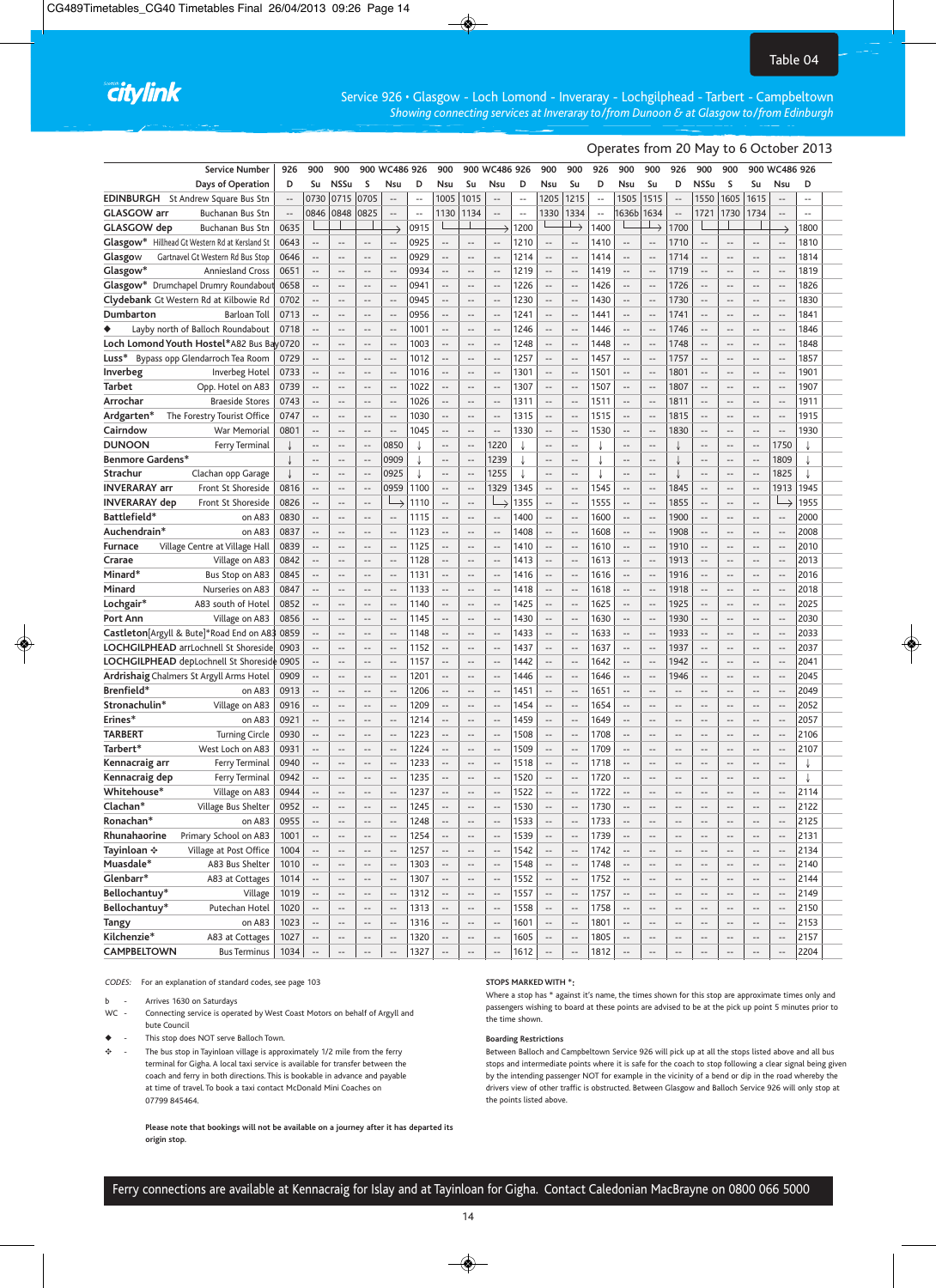# citylink

Service 926 • Glasgow - Loch Lomond - Inveraray - Lochgilphead - Tarbert - Campbeltown *Showing connecting services at Inveraray to/from Dunoon & at Glasgow to/from Edinburgh*

## Operates from 20 May to 6 October 2013

| <b>Service Number</b>                                      | 926                      | 900                                        | 900                             |                                            | 900 WC486 926                    |                          | 900                                                 |                                                      | 900 WC486 926                              |                          | 900                              | 900                                                  | 926                      | 900                              | 900                                                  | 926                      | 900                                                  | 900                             |                                            | 900 WC486 926                                        |               |
|------------------------------------------------------------|--------------------------|--------------------------------------------|---------------------------------|--------------------------------------------|----------------------------------|--------------------------|-----------------------------------------------------|------------------------------------------------------|--------------------------------------------|--------------------------|----------------------------------|------------------------------------------------------|--------------------------|----------------------------------|------------------------------------------------------|--------------------------|------------------------------------------------------|---------------------------------|--------------------------------------------|------------------------------------------------------|---------------|
| Days of Operation                                          | D                        | Su                                         | <b>NSSu</b>                     | S                                          | Nsu                              | D                        | Nsu                                                 | Su                                                   | Nsu                                        | D                        | Nsu                              | Su                                                   | D                        | Nsu                              | Su                                                   | D                        | <b>NSSu</b>                                          | S                               | Su                                         | Nsu                                                  | D             |
| <b>EDINBURGH</b><br>St Andrew Square Bus Stn               | $\overline{\phantom{a}}$ | 0730                                       | 0715                            | 0705                                       | $\overline{a}$                   | $\overline{a}$           | 1005                                                | 1015                                                 | $\overline{a}$                             | $\overline{a}$           | 1205                             | 1215                                                 | $\sim$                   | 1505                             | 1515                                                 | $\overline{a}$           | 1550                                                 | 1605                            | 1615                                       | $\overline{\phantom{a}}$                             |               |
| <b>GLASGOW</b> arr<br>Buchanan Bus Stn                     | $\overline{\phantom{a}}$ | 0846                                       | 0848                            | 0825                                       | $\overline{\phantom{a}}$         | $\overline{\phantom{a}}$ | 1130                                                | 1134                                                 | $\overline{\phantom{a}}$                   | $\overline{\phantom{a}}$ | 1330                             | 1334                                                 | $\overline{\phantom{a}}$ | 1636b                            | 1634                                                 | $\cdots$                 | 1721                                                 | 1730                            | 1734                                       | $\overline{\phantom{a}}$                             | $\frac{1}{2}$ |
| GLASGOW dep<br>Buchanan Bus Stn                            | 0635                     |                                            |                                 |                                            |                                  | 0915                     |                                                     |                                                      |                                            | 1200                     |                                  | △                                                    | 1400                     |                                  |                                                      | 1700                     |                                                      |                                 |                                            |                                                      | 1800          |
| Glasgow* Hillhead Gt Western Rd at Kersland St             | 0643                     | $\overline{\phantom{a}}$                   | $-$                             |                                            | $\qquad \qquad -$                | 0925                     | $\overline{a}$                                      | $\overline{a}$                                       | $\overline{\phantom{a}}$                   | 1210                     | $\overline{a}$                   | $\overline{\phantom{a}}$                             | 1410                     | --                               | $\overline{\phantom{a}}$                             | 1710                     | $\overline{\phantom{a}}$                             | $-$                             | $\overline{a}$                             | $\overline{\phantom{a}}$                             | 1810          |
| Glasgow<br>Gartnavel Gt Western Rd Bus Stop                | 0646                     | $\overline{a}$                             | $-$                             | $\overline{\phantom{a}}$                   | $-$                              | 0929                     | $\overline{a}$                                      | $\overline{a}$                                       | $\overline{\phantom{a}}$                   | 1214                     | $\overline{a}$                   | $\overline{\phantom{a}}$                             | 1414                     | $\overline{a}$                   | $\overline{\phantom{a}}$                             | 1714                     | $\overline{a}$                                       | $-$                             | $\overline{a}$                             | $\sim$                                               | 1814          |
| Glasgow*<br><b>Anniesland Cross</b>                        | 0651                     | $\overline{a}$                             | $\overline{a}$                  | $\overline{\phantom{a}}$                   | $\overline{a}$                   | 0934                     | $\overline{\phantom{a}}$                            | $\overline{a}$                                       | $\overline{\phantom{a}}$                   | 1219                     | $\overline{a}$                   | $\overline{\phantom{a}}$                             | 1419                     | $\overline{a}$                   | $\overline{\phantom{a}}$                             | 1719                     | $\overline{a}$                                       | $\overline{a}$                  | $\overline{a}$                             | $\overline{\phantom{a}}$                             | 1819          |
| Glasgow* Drumchapel Drumry Roundabou                       | 0658                     | $\overline{\phantom{a}}$                   | $-$                             |                                            | $\overline{a}$                   | 0941                     | $\overline{a}$                                      | $\overline{\phantom{a}}$                             | $\overline{a}$                             | 1226                     | $\overline{\phantom{a}}$         | $\overline{a}$                                       | 1426                     | --                               | $\overline{\phantom{a}}$                             | 1726                     | $\overline{\phantom{a}}$                             | $-$                             | $\overline{\phantom{a}}$                   | $\overline{\phantom{a}}$                             | 1826          |
| Clydebank Gt Western Rd at Kilbowie Rd                     | 0702                     | $\overline{a}$                             | $-$                             | $\overline{a}$                             | $-$                              | 0945                     | $\overline{a}$                                      | $\overline{a}$                                       | $\overline{a}$                             | 1230                     | $\overline{a}$                   | $\overline{\phantom{a}}$                             | 1430                     | $\overline{a}$                   | $\overline{\phantom{a}}$                             | 1730                     | $\sim$                                               | $\overline{a}$                  | $\overline{a}$                             | $\overline{\phantom{a}}$                             | 1830          |
| Dumbarton<br><b>Barloan Toll</b>                           | 0713                     | $\overline{a}$                             | $-$                             | $\overline{\phantom{a}}$                   | $\overline{a}$                   | 0956                     | $\overline{\phantom{a}}$                            | $\overline{a}$                                       | $\overline{\phantom{a}}$                   | 1241                     | $\overline{a}$                   | $\overline{\phantom{a}}$                             | 1441                     | $\overline{a}$                   | $\overline{a}$                                       | 1741                     | $\overline{\phantom{a}}$                             | $\overline{a}$                  | $-$                                        | $\overline{\phantom{a}}$                             | 1841          |
| Layby north of Balloch Roundabout<br>٠                     | 0718                     | $\overline{\phantom{a}}$                   | $\overline{\phantom{a}}$        | $\overline{\phantom{a}}$                   | $\overline{\phantom{a}}$         | 1001                     | $\overline{\phantom{a}}$                            | $\qquad \qquad -$                                    | $\overline{\phantom{a}}$                   | 1246                     | $\overline{\phantom{a}}$         | $\overline{\phantom{a}}$                             | 1446                     | $\overline{a}$                   | $\overline{\phantom{a}}$                             | 1746                     | $\overline{\phantom{a}}$                             | $\overline{\phantom{a}}$        | $\overline{a}$                             | $\overline{\phantom{a}}$                             | 1846          |
| Loch Lomond Youth Hostel*A82 Bus Bay0720                   |                          | $\overline{\phantom{a}}$                   | --                              |                                            | $\overline{\phantom{a}}$         | 1003                     | $\overline{\phantom{a}}$                            | $\overline{\phantom{a}}$                             |                                            | 1248                     | --                               | $\overline{\phantom{a}}$                             | 1448                     | $\overline{\phantom{a}}$         | $\overline{\phantom{a}}$                             | 1748                     |                                                      | $\overline{a}$                  | $\overline{\phantom{a}}$                   | $\overline{a}$                                       | 1848          |
| Luss*<br>Bypass opp Glendarroch Tea Room                   | 0729                     | $\overline{a}$                             | $-$                             | $\overline{\phantom{a}}$                   | $\qquad \qquad -$                | 1012                     | $\overline{\phantom{a}}$                            | $\overline{a}$                                       | $\overline{\phantom{a}}$                   | 1257                     | $\overline{\phantom{a}}$         | $\overline{\phantom{a}}$                             | 1457                     | $\overline{\phantom{a}}$         | $\overline{\phantom{a}}$                             | 1757                     | $\overline{\phantom{a}}$                             | $\overline{a}$                  | $\overline{a}$                             | $\overline{\phantom{a}}$                             | 1857          |
| Inverbeg<br>Inverbeg Hotel                                 | 0733                     | $\overline{a}$                             | $-$                             | $\overline{\phantom{a}}$                   | $-$                              | 1016                     | $\overline{\phantom{a}}$                            | $\overline{a}$                                       | $-$                                        | 1301                     | $\overline{a}$                   | $\overline{\phantom{a}}$                             | 1501                     | $-$                              | $\overline{a}$                                       | 1801                     | $\overline{\phantom{a}}$                             | $-$                             | $-$                                        | $\overline{a}$                                       | 1901          |
| <b>Tarbet</b><br>Opp. Hotel on A83                         | 0739                     | $\overline{\phantom{a}}$                   | $-$                             | $\overline{\phantom{a}}$                   | $\overline{a}$                   | 1022                     | $\overline{\phantom{a}}$                            | $\overline{a}$                                       | $\overline{\phantom{a}}$                   | 1307                     | $\overline{a}$                   | $\overline{\phantom{a}}$                             | 1507                     | $-$                              | $\overline{\phantom{a}}$                             | 1807                     | $\overline{\phantom{a}}$                             | $-$                             | $\overline{a}$                             | $\overline{\phantom{a}}$                             | 1907          |
| Arrochar<br><b>Braeside Stores</b>                         | 0743                     | $\overline{\phantom{a}}$                   | $\overline{\phantom{a}}$        | $\overline{\phantom{a}}$                   | $\overline{\phantom{a}}$         | 1026                     | $\overline{a}$                                      | $\overline{\phantom{a}}$                             | $\overline{\phantom{a}}$                   | 1311                     | $\overline{\phantom{a}}$         | $\overline{\phantom{a}}$                             | 1511                     | $-$                              | $\overline{\phantom{a}}$                             | 1811                     | $\overline{\phantom{a}}$                             | $-$                             | $\overline{\phantom{a}}$                   | $\overline{\phantom{a}}$                             | 1911          |
| Ardgarten*<br>The Forestry Tourist Office                  | 0747                     | $\overline{a}$                             | --                              | $\overline{a}$                             | $-$                              | 1030                     | $\overline{a}$                                      | $\overline{a}$                                       | $-$                                        | 1315                     | $\overline{a}$                   | $\overline{\phantom{a}}$                             | 1515                     | $\overline{a}$                   | $\overline{\phantom{a}}$                             | 1815                     | $\overline{\phantom{a}}$                             | $-$                             | $\overline{a}$                             | $\overline{\phantom{a}}$                             | 1915          |
| Cairndow<br>War Memorial                                   | 0801                     | $\overline{a}$                             | --                              | $\overline{\phantom{a}}$                   | $\overline{a}$                   | 1045                     | $\overline{a}$                                      | $\overline{\phantom{a}}$                             | $\overline{\phantom{a}}$                   | 1330                     | $\overline{a}$                   | $\overline{\phantom{a}}$                             | 1530                     | $-$                              | $\overline{\phantom{a}}$                             | 1830                     | $\overline{\phantom{a}}$                             | $-$                             | $\overline{a}$                             | $\overline{\phantom{a}}$                             | 1930          |
| <b>DUNOON</b>                                              |                          | $\overline{a}$                             | $-$                             | $\overline{\phantom{a}}$                   | 0850                             |                          | $\overline{\phantom{a}}$                            | $\overline{\phantom{a}}$                             |                                            |                          | $\overline{a}$                   | $\overline{\phantom{a}}$                             |                          | $\overline{a}$                   | $\overline{a}$                                       |                          | $\overline{\phantom{a}}$                             | $-$                             | $\overline{a}$                             | 1750                                                 |               |
| Ferry Terminal                                             |                          | $\overline{a}$                             | $\overline{a}$                  | $\overline{a}$                             |                                  |                          |                                                     |                                                      | 1220                                       |                          | $\overline{a}$                   |                                                      |                          | $-$                              | $\overline{a}$                                       |                          |                                                      | $\overline{a}$                  | $\overline{a}$                             |                                                      |               |
| <b>Benmore Gardens*</b><br>Strachur                        |                          |                                            |                                 |                                            | 0909<br>0925                     |                          | $\overline{\phantom{a}}$                            | $\overline{\phantom{a}}$                             | 1239                                       |                          |                                  | $\overline{\phantom{a}}$                             |                          |                                  |                                                      |                          | $\overline{\phantom{a}}$                             |                                 |                                            | 1809<br>1825                                         |               |
| Clachan opp Garage                                         |                          | $\overline{\phantom{a}}$<br>$\overline{a}$ | $-$<br>$\overline{a}$           | $\sim$                                     | 0959                             | 1100                     | $\overline{a}$                                      | $\overline{\phantom{a}}$<br>$\overline{a}$           | 1255                                       |                          | $\overline{a}$<br>$\overline{a}$ | $\overline{a}$                                       |                          | --<br>$-$                        | $\overline{a}$<br>$\overline{a}$                     |                          | $\overline{a}$                                       | $-$<br>$-$                      | $\overline{\phantom{a}}$<br>$\overline{a}$ | 1913                                                 | 1945          |
| <b>INVERARAY arr</b><br>Front St Shoreside                 | 0816                     | $\overline{a}$                             | $\overline{a}$                  |                                            |                                  |                          | $\overline{a}$<br>$\overline{\phantom{a}}$          | $\overline{a}$                                       | 1329                                       | 1345                     | $\overline{a}$                   | $\overline{\phantom{a}}$<br>$\overline{\phantom{a}}$ | 1545                     | $\overline{a}$                   | $\overline{a}$                                       | 1845                     | $\overline{a}$                                       | $\overline{a}$                  | $\overline{a}$                             | ∟                                                    | 1955          |
| <b>INVERARAY</b> dep<br>Front St Shoreside<br>Battlefield* | 0826<br>0830             |                                            |                                 | $\overline{\phantom{a}}$                   |                                  | 1110                     |                                                     |                                                      | $\overline{\phantom{a}}$                   | 1355                     |                                  |                                                      | 1555                     | $-$                              |                                                      | 1855                     | $\overline{a}$                                       |                                 | $\overline{a}$                             |                                                      |               |
| on A83                                                     |                          | $\overline{\phantom{a}}$                   | $\overline{\phantom{a}}$        | $\overline{\phantom{a}}$                   | $\overline{\phantom{a}}$         | 1115                     | $\overline{a}$                                      | $\overline{\phantom{a}}$                             |                                            | 1400                     | $\overline{\phantom{a}}$         | $\overline{\phantom{a}}$                             | 1600                     |                                  | $\overline{\phantom{a}}$                             | 1900                     |                                                      | $\overline{\phantom{a}}$        |                                            | $\overline{\phantom{a}}$                             | 2000<br>2008  |
| Auchendrain*<br>on A83                                     | 0837                     | $\overline{\phantom{a}}$                   | $-$                             |                                            | $-$                              | 1123                     | $\overline{\phantom{a}}$                            | $\overline{\phantom{a}}$                             | --                                         | 1408                     | --                               | $\overline{a}$                                       | 1608                     | $\overline{\phantom{a}}$         | $\overline{\phantom{a}}$                             | 1908                     |                                                      | --                              | $\overline{a}$                             | $\overline{\phantom{a}}$                             |               |
| Village Centre at Village Hall<br><b>Furnace</b>           | 0839                     | $\overline{\phantom{a}}$                   | $-$                             | $\overline{\phantom{a}}$                   | $\overline{\phantom{a}}$         | 1125                     | $\overline{\phantom{a}}$                            | $\overline{\phantom{a}}$                             | $\overline{\phantom{a}}$                   | 1410                     | $\overline{\phantom{a}}$         | $\overline{\phantom{a}}$                             | 1610                     | $-$                              | $\overline{\phantom{a}}$                             | 1910                     | $\overline{a}$                                       | $\overline{\phantom{a}}$        | $\overline{a}$                             | $\overline{\phantom{a}}$                             | 2010          |
| Crarae<br>Village on A83                                   | 0842                     | $\overline{a}$                             | $-$                             | $\overline{a}$                             | $-$                              | 1128                     | $\overline{\phantom{a}}$                            | $\overline{a}$                                       | $\overline{\phantom{a}}$                   | 1413                     | $\overline{a}$                   | $\overline{\phantom{a}}$                             | 1613                     | $\overline{a}$                   | $\overline{a}$                                       | 1913                     | $\overline{\phantom{a}}$                             | $-$                             | $-$                                        | $\overline{\phantom{a}}$                             | 2013          |
| Minard*<br>Bus Stop on A83                                 | 0845                     | $\overline{\phantom{a}}$                   | $\overline{a}$                  | $\overline{\phantom{a}}$                   | $\overline{a}$                   | 1131                     | $\overline{\phantom{a}}$                            | $\overline{a}$                                       | $\overline{\phantom{a}}$                   | 1416                     | $\overline{a}$                   | $\overline{\phantom{a}}$                             | 1616                     | $-$                              | $\sim$                                               | 1916                     | $\overline{\phantom{a}}$                             | $-$                             | $\overline{a}$                             | $\overline{\phantom{a}}$                             | 2016          |
| Minard<br>Nurseries on A83                                 | 0847                     | $\overline{\phantom{a}}$                   | $\overline{\phantom{a}}$        |                                            | $\overline{\phantom{a}}$         | 1133                     | $\overline{\phantom{a}}$                            | $\overline{\phantom{a}}$                             | $\overline{\phantom{a}}$                   | 1418                     | $\overline{\phantom{a}}$         | $\overline{\phantom{a}}$                             | 1618                     | $\overline{\phantom{a}}$         | $\overline{\phantom{a}}$                             | 1918                     | $\overline{\phantom{a}}$                             | $-$                             | $\overline{\phantom{a}}$                   | $\overline{\phantom{a}}$                             | 2018          |
| Lochgair*<br>A83 south of Hotel                            | 0852                     | $\overline{a}$                             | $-$                             |                                            | $-$                              | 1140                     | $\overline{\phantom{a}}$                            | $\overline{a}$                                       | $\overline{a}$                             | 1425                     | $\overline{a}$                   | $\overline{\phantom{a}}$                             | 1625                     | $\overline{a}$                   | $\overline{a}$                                       | 1925                     | $\overline{\phantom{a}}$                             | $\overline{a}$                  | $\sim$                                     | $\overline{\phantom{a}}$                             | 2025          |
| Port Ann<br>Village on A83                                 | 0856                     | $\overline{a}$                             | $-$<br>$\overline{\phantom{a}}$ | $\overline{a}$                             | $-$                              | 1145                     | $\overline{\phantom{a}}$                            | $\overline{a}$<br>$\overline{a}$                     | $\overline{\phantom{a}}$                   | 1430                     | $\overline{a}$                   | $\overline{\phantom{a}}$                             | 1630                     | $\overline{a}$<br>$\overline{a}$ | $\overline{a}$                                       | 1930                     | $\overline{\phantom{a}}$                             | $-$<br>$-$                      | $-$                                        | $\overline{\phantom{a}}$                             | 2030          |
| <b>Castleton</b> Argyll & Bute * Road End on A83           | 0859                     | $\overline{\phantom{m}}$                   |                                 | $\overline{\phantom{a}}$                   | $\overline{\phantom{a}}$         | 1148                     | $\overline{\phantom{a}}$                            |                                                      | $\overline{\phantom{a}}$                   | 1433                     | $\cdots$                         | $\overline{\phantom{a}}$                             | 1633                     |                                  | $\overline{\phantom{a}}$                             | 1933                     | $\overline{a}$                                       |                                 | $\overline{a}$                             | $\overline{\phantom{a}}$                             | 2033<br>2037  |
| LOCHGILPHEAD arrLochnell St Shoreside                      | 0903                     | $\overline{\phantom{a}}$                   | --                              | $\overline{a}$                             | $\overline{\phantom{a}}$         | 1152                     | $\overline{\phantom{a}}$                            | $\overline{\phantom{a}}$<br>$\overline{\phantom{a}}$ | --<br>$-$                                  | 1437                     | --                               | $\overline{\phantom{a}}$                             | 1637                     | $\overline{\phantom{a}}$<br>$-$  | $\overline{\phantom{a}}$                             | 1937                     |                                                      | $\overline{\phantom{a}}$<br>$-$ | $\overline{\phantom{a}}$<br>$\overline{a}$ | $\overline{\phantom{a}}$                             |               |
| LOCHGILPHEAD depLochnell St Shoreside                      | 0905                     | $\overline{\phantom{a}}$<br>$\overline{a}$ | --<br>$-$                       |                                            | $\overline{a}$<br>$-$            | 1157                     | $\overline{a}$<br>$\overline{a}$                    | $\overline{a}$                                       |                                            | 1442                     | $\overline{\phantom{a}}$         | $\overline{\phantom{a}}$                             | 1642                     | $\overline{a}$                   | $\overline{\phantom{a}}$<br>$\overline{\phantom{a}}$ | 1942                     | $\overline{\phantom{a}}$                             |                                 |                                            | $\overline{\phantom{a}}$<br>$\sim$                   | 2041          |
| Ardrishaig Chalmers St Argyll Arms Hotel<br>Brenfield*     | 0909                     | $\overline{a}$                             | $\overline{\phantom{a}}$        | $\overline{\phantom{a}}$                   |                                  | 1201                     |                                                     | $\overline{a}$                                       | $\overline{\phantom{a}}$                   | 1446                     | $\overline{a}$<br>$\overline{a}$ | $\overline{\phantom{a}}$                             | 1646                     | $\overline{a}$                   | $\overline{a}$                                       | 1946                     | $\overline{\phantom{a}}$                             | $-$<br>$\overline{a}$           | $\overline{a}$<br>$\overline{a}$           |                                                      | 2045          |
| on A83                                                     | 0913                     |                                            |                                 | $\overline{\phantom{a}}$                   | $\overline{\phantom{a}}$         | 1206                     | $\overline{\phantom{a}}$                            |                                                      | $\overline{\phantom{a}}$                   | 1451                     |                                  | $\overline{\phantom{a}}$                             | 1651                     |                                  |                                                      | $\overline{a}$           | $\overline{\phantom{a}}$                             |                                 |                                            | $\overline{\phantom{a}}$                             | 2049          |
| Stronachulin*<br>Village on A83                            | 0916<br>0921             | $\overline{\phantom{a}}$<br>$\overline{a}$ | $-$<br>$-$                      | $\overline{\phantom{a}}$<br>$\overline{a}$ | $\overline{a}$<br>$\overline{a}$ | 1209                     | $\overline{a}$<br>$\overline{\phantom{a}}$          | $\overline{\phantom{a}}$<br>$\overline{a}$           | $\overline{a}$<br>$\overline{a}$           | 1454                     | --<br>$\overline{a}$             | $\overline{\phantom{a}}$                             | 1654                     | --<br>$-$                        | $\overline{a}$<br>$\overline{a}$                     | --<br>$\overline{a}$     | $\overline{a}$<br>$\sim$                             | $-$<br>$\overline{a}$           | $\overline{\phantom{a}}$<br>$\sim$         | $\overline{\phantom{a}}$<br>$\overline{\phantom{a}}$ | 2052<br>2057  |
| Erines*<br>on A83                                          | 0930                     | $\overline{a}$                             | $-$                             |                                            | $\overline{a}$                   | 1214                     | $\overline{\phantom{a}}$                            | $\overline{a}$                                       |                                            | 1459                     | $\overline{a}$                   | $\overline{\phantom{a}}$                             | 1649                     |                                  |                                                      |                          |                                                      |                                 |                                            | $\overline{\phantom{a}}$                             |               |
| <b>TARBERT</b><br><b>Turning Circle</b><br>Tarbert*        | 0931                     | $\overline{\phantom{m}}$                   | $\overline{\phantom{a}}$        | $\overline{\phantom{a}}$                   | $\overline{\phantom{a}}$         | 1223<br>1224             | $\overline{a}$                                      | $\qquad \qquad -$                                    | $\overline{\phantom{a}}$<br>$\overline{a}$ | 1508<br>1509             | $\overline{\phantom{a}}$         | $\overline{\phantom{a}}$<br>$\overline{\phantom{a}}$ | 1708                     | $- -$<br>$-$                     | $\overline{\phantom{a}}$<br>$\overline{a}$           | $\overline{a}$<br>--     | $\overline{\phantom{a}}$<br>$\overline{\phantom{a}}$ | $-$<br>$-$                      | $-$<br>$\overline{\phantom{a}}$            | $\overline{a}$                                       | 2106<br>2107  |
| West Loch on A83                                           | 0940                     | $\overline{\phantom{a}}$                   | $\overline{\phantom{a}}$        | $\overline{\phantom{a}}$                   | $-$                              | 1233                     | $\overline{a}$                                      | $\overline{\phantom{a}}$                             | $\overline{a}$                             | 1518                     | --                               | $\overline{a}$                                       | 1709<br>1718             |                                  | $\overline{\phantom{a}}$                             | --                       |                                                      | $\overline{a}$                  | $\overline{a}$                             | $\overline{\phantom{a}}$                             |               |
| Kennacraig arr<br>Ferry Terminal<br>Ferry Terminal         | 0942                     | $\overline{\phantom{a}}$                   | $-$                             | $\overline{\phantom{a}}$                   | $\qquad \qquad -$                | 1235                     | $\overline{a}$                                      | $\overline{a}$                                       | $\overline{\phantom{a}}$                   | 1520                     | $\overline{a}$                   |                                                      | 1720                     | $-$                              | $\overline{\phantom{a}}$                             | --                       | $\overline{\phantom{a}}$                             | $\overline{\phantom{a}}$        | $\overline{a}$                             | $\overline{a}$                                       |               |
| Kennacraig dep<br>Whitehouse*                              | 0944                     | $\overline{a}$                             | $-$                             | $\overline{a}$                             | $-$                              | 1237                     | $\overline{a}$                                      | $\overline{a}$                                       | $\overline{\phantom{a}}$                   | 1522                     | $\overline{a}$                   | $\overline{\phantom{a}}$<br>$\overline{\phantom{a}}$ |                          | $-$                              | $\overline{a}$                                       | $\overline{a}$           | $\overline{\phantom{a}}$                             | $-$                             | $\overline{a}$                             | $-$                                                  | 2114          |
| Village on A83<br>Clachan*                                 |                          |                                            |                                 |                                            |                                  |                          |                                                     |                                                      |                                            |                          |                                  |                                                      | 1722                     |                                  |                                                      |                          |                                                      | $-$                             |                                            |                                                      |               |
| Village Bus Shelter<br>Ronachan*                           | 0952                     | $\overline{\phantom{a}}$                   | --                              |                                            | $\overline{\phantom{a}}$         | 1245<br>1248             | $\overline{a}$                                      | $\overline{\phantom{a}}$                             | $\overline{a}$                             | 1530                     | Ξ.                               | $\overline{\phantom{a}}$                             | 1730                     |                                  | $\overline{\phantom{a}}$                             | --                       |                                                      |                                 | $\overline{\phantom{a}}$                   | $\overline{\phantom{a}}$                             | 2122          |
| on A83                                                     | 0955                     | $\overline{\phantom{a}}$ .                 | $\overline{\phantom{a}}$        | $\overline{\phantom{a}}$                   | $\overline{\phantom{a}}$         |                          | $\overline{\phantom{a}}$                            | $\qquad \qquad -$                                    | $\cdots$                                   | 1533                     | $\overline{\phantom{a}}$         | $\overline{\phantom{a}}$                             | 1733                     | $\overline{\phantom{a}}$         | $\overline{\phantom{a}}$                             | $\overline{\phantom{a}}$ | $\overline{\phantom{a}}$                             | $\overline{\phantom{a}}$        | $\overline{\phantom{m}}$                   | $\overline{\phantom{a}}$                             | 2125          |
| Rhunahaorine<br>Primary School on A83                      | 1001                     | $\overline{\phantom{a}}$                   | $\overline{\phantom{a}}$        | $\overline{\phantom{a}}$                   | $\overline{\phantom{a}}$         | 1254                     | $\hspace{0.05cm} -\hspace{0.05cm} -\hspace{0.05cm}$ | $\qquad \qquad -$                                    | $\overline{\phantom{a}}$                   | 1539                     | $\overline{\phantom{a}}$         | $\overline{a}$                                       | 1739                     | $\overline{\phantom{a}}$         | $\overline{\phantom{a}}$                             | $\overline{\phantom{a}}$ | $\overline{\phantom{a}}$                             | $\overline{\phantom{a}}$        | $\overline{\phantom{a}}$                   | $\overline{\phantom{a}}$                             | 2131          |
| Tayinloan *<br>Village at Post Office                      | 1004                     | $\overline{\phantom{m}}$                   | $\overline{\phantom{a}}$        | $\overline{\phantom{a}}$                   | $\overline{\phantom{a}}$         | 1257                     | $\hspace{0.05cm} -\hspace{0.05cm} -\hspace{0.05cm}$ | $\overline{\phantom{a}}$                             | $\overline{\phantom{a}}$                   | 1542                     | $\hspace{0.05cm} \ldots$         | $\overline{\phantom{a}}$                             | 1742                     | $\overline{\phantom{m}}$         | $\overline{\phantom{a}}$                             | --                       | $\overline{\phantom{a}}$                             | $\overline{\phantom{a}}$        | $\overline{\phantom{a}}$                   | $\overline{\phantom{a}}$                             | 2134          |
| Muasdale*<br>A83 Bus Shelter                               | 1010                     | $\overline{\phantom{a}}$                   | $\overline{\phantom{a}}$        | $\overline{\phantom{a}}$                   | $\overline{\phantom{a}}$         | 1303                     | $\overline{\phantom{a}}$                            | $\overline{\phantom{a}}$                             | $\overline{\phantom{a}}$                   | 1548                     | $\overline{\phantom{a}}$         | $\overline{\phantom{a}}$                             | 1748                     | $\overline{\phantom{a}}$         | $\overline{a}$                                       | $\overline{\phantom{a}}$ | $\overline{\phantom{a}}$                             | $-$                             | $\overline{\phantom{a}}$                   | $\overline{\phantom{a}}$                             | 2140          |
| Glenbarr*<br>A83 at Cottages                               | 1014                     | $\overline{\phantom{a}}$                   | $\overline{\phantom{a}}$        | $\overline{\phantom{a}}$                   | $\overline{\phantom{a}}$         | 1307                     | $\overline{\phantom{a}}$                            | $\qquad \qquad -$                                    | $\overline{\phantom{a}}$                   | 1552                     | $\overline{\phantom{a}}$         | $\overline{\phantom{a}}$                             | 1752                     | $\overline{\phantom{a}}$         | $\overline{\phantom{a}}$                             | $\overline{\phantom{a}}$ | $\overline{a}$                                       | $\overline{\phantom{a}}$        | $\overline{\phantom{a}}$                   | $\overline{\phantom{a}}$                             | 2144          |
| Bellochantuy*<br>Village                                   | 1019                     | $\overline{\phantom{a}}$                   | $\overline{\phantom{a}}$        |                                            | $\overline{\phantom{a}}$         | 1312                     | $\hspace{0.05cm} -\hspace{0.05cm} -\hspace{0.05cm}$ | $\overline{\phantom{a}}$                             | $\overline{\phantom{a}}$                   | 1557                     | $\overline{\phantom{a}}$         | $\overline{\phantom{a}}$                             | 1757                     | $\overline{\phantom{a}}$         | $\overline{\phantom{a}}$                             | --                       | $\overline{\phantom{a}}$                             | $\overline{\phantom{a}}$        | $\overline{\phantom{a}}$                   | $\qquad \qquad -$                                    | 2149          |
| Bellochantuy*<br>Putechan Hotel                            | 1020                     | $\overline{\phantom{a}}$                   | $\overline{\phantom{a}}$        | $\overline{\phantom{a}}$                   | $\overline{\phantom{a}}$         | 1313                     | $\hspace{0.05cm} -\hspace{0.05cm} -\hspace{0.05cm}$ | $\overline{\phantom{a}}$                             | $\overline{\phantom{a}}$                   | 1558                     | $\overline{\phantom{a}}$         | $\overline{\phantom{a}}$                             | 1758                     | $\overline{\phantom{a}}$         | $\overline{\phantom{a}}$                             | $\overline{\phantom{a}}$ | $\overline{\phantom{a}}$                             | $\overline{a}$                  | $\overline{\phantom{a}}$                   | $\overline{\phantom{a}}$                             | 2150          |
| <b>Tangy</b><br>on A83                                     | 1023                     | $\overline{\phantom{a}}$                   | $\overline{\phantom{a}}$        | $\overline{\phantom{a}}$                   | $\overline{\phantom{a}}$         | 1316                     | $\hspace{0.05cm} -\hspace{0.05cm} -\hspace{0.05cm}$ | $\overline{\phantom{a}}$                             | $\overline{\phantom{a}}$                   | 1601                     | $\overline{\phantom{a}}$         | $\overline{\phantom{a}}$                             | 1801                     | $\overline{\phantom{a}}$         | $\overline{\phantom{a}}$                             | $\overline{\phantom{a}}$ | $\overline{\phantom{a}}$                             | $\overline{a}$                  | $\overline{\phantom{a}}$                   | $\overline{\phantom{a}}$                             | 2153          |
| Kilchenzie*<br>A83 at Cottages                             | 1027                     | $\overline{\phantom{a}}$                   | $\overline{\phantom{a}}$        | $\overline{\phantom{a}}$                   | $\overline{\phantom{a}}$         | 1320                     | $\overline{\phantom{a}}$                            | $\overline{\phantom{a}}$                             | $\overline{\phantom{a}}$                   | 1605                     | $\overline{\phantom{a}}$         | $\overline{\phantom{a}}$                             | 1805                     | $\overline{\phantom{a}}$         | $\overline{\phantom{a}}$                             | $\overline{\phantom{a}}$ | $\overline{\phantom{a}}$                             | $\overline{\phantom{a}}$        | $\overline{\phantom{a}}$                   | $\overline{\phantom{a}}$                             | 2157          |
| <b>CAMPBELTOWN</b><br><b>Bus Terminus</b>                  | 1034                     | $\overline{\phantom{a}}$                   | $\overline{\phantom{a}}$        |                                            | $\overline{\phantom{a}}$         | 1327                     | $\overline{\phantom{m}}$                            | $\overline{\phantom{a}}$                             | $\overline{\phantom{a}}$                   | 1612                     | $\cdots$                         | $\overline{\phantom{a}}$                             | 1812                     | $\overline{\phantom{a}}$         | $\overline{\phantom{a}}$                             | --                       |                                                      | $\overline{\phantom{a}}$        | $\overline{\phantom{a}}$                   | $\overline{\phantom{a}}$                             | 2204          |

 $\bigcirc$ 

*CODES:* For an explanation of standard codes, see page 103

b - Arrives 1630 on Saturdays<br>WC - Connecting service is opera

- Connecting service is operated by West Coast Motors on behalf of Argyll and bute Council
- $\bullet$  This stop does NOT serve Balloch Town.
- $\Leftrightarrow$  The bus stop in Tayinloan village is approximately 1/2 mile from the ferry terminal for Gigha. A local taxi service is available for transfer between the coach and ferry in both directions. This is bookable in advance and payable at time of travel. To book a taxi contact McDonald Mini Coaches on 07799 845464.

**Please note that bookings will not be available on a journey after it has departed its origin stop.**

### **STOPS MARKED WITH \***:

Where a stop has \* against it's name, the times shown for this stop are approximate times only and passengers wishing to board at these points are advised to be at the pick up point 5 minutes prior to the time shown.

#### **Boarding Restrictions**

Between Balloch and Campbeltown Service 926 will pick up at all the stops listed above and all bus stops and intermediate points where it is safe for the coach to stop following a clear signal being given by the intending passenger NOT for example in the vicinity of a bend or dip in the road whereby the drivers view of other traffic is obstructed. Between Glasgow and Balloch Service 926 will only stop at the points listed above.

 $\bigcirc$